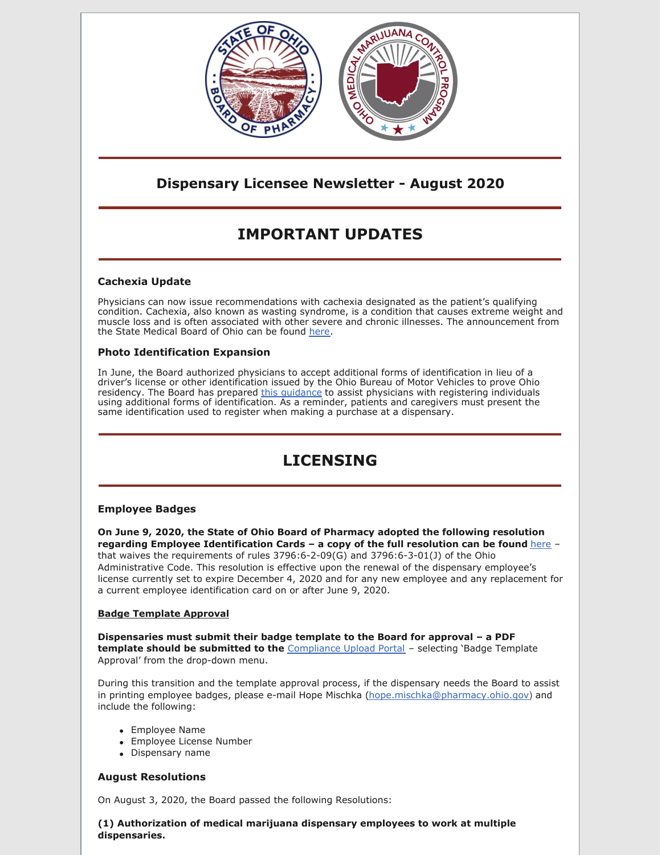

# **Dispensary Licensee Newsletter - August 2020**

# **IMPORTANT UPDATES**

# **Cachexia Update**

Physicians can now issue recommendations with cachexia designated as the patient's qualifying condition. Cachexia, also known as wasting syndrome, is a condition that causes extreme weight and muscle loss and is often associated with other severe and chronic illnesses. The announcement from the State Medical Board of Ohio can be found [here](https://med.ohio.gov/Publications/Recent-News/new-qualifying-condition-for-mmcp).

## **Photo Identification Expansion**

In June, the Board authorized physicians to accept additional forms of identification in lieu of a driver's license or other identification issued by the Ohio Bureau of Motor Vehicles to prove Ohio residency. The Board has prepared this [guidance](https://www.medicalmarijuana.ohio.gov/Documents/Physicians/Quick Reference Guide - Registering Individuals With Other Forms of Identification.pdf) to assist physicians with registering individuals using additional forms of identification. As a reminder, patients and caregivers must present the same identification used to register when making a purchase at a dispensary.

# **LICENSING**

## **Employee Badges**

**On June 9, 2020, the State of Ohio Board of Pharmacy adopted the following resolution regarding Employee Identification Cards – a copy of the full resolution can be found** [here](https://medicalmarijuana.ohio.gov/Documents/LicenseeResources/Dispensary Licensee Resources/DISPENSARY EMPLOYEE LICENSING/Medical Marijuana Employee Identification Cards.pdf) – that waives the requirements of rules 3796:6-2-09(G) and 3796:6-3-01(J) of the Ohio Administrative Code. This resolution is effective upon the renewal of the dispensary employee's license currently set to expire December 4, 2020 and for any new employee and any replacement for a current employee identification card on or after June 9, 2020.

## **Badge Template Approval**

**Dispensaries must submit their badge template to the Board for approval – a PDF template should be submitted to the** [Compliance](https://www.pharmacy.ohio.gov/Licensing/DocumentUpload.aspx) Upload Portal – selecting 'Badge Template Approval' from the drop-down menu.

During this transition and the template approval process, if the dispensary needs the Board to assist in printing employee badges, please e-mail Hope Mischka [\(hope.mischka@pharmacy.ohio.gov](mailto:hope.mischka@pharmacy.ohio.gov)) and include the following:

- Employee Name
- Employee License Number
- Dispensary name

## **August Resolutions**

On August 3, 2020, the Board passed the following Resolutions:

**(1) Authorization of medical marijuana dispensary employees to work at multiple dispensaries.**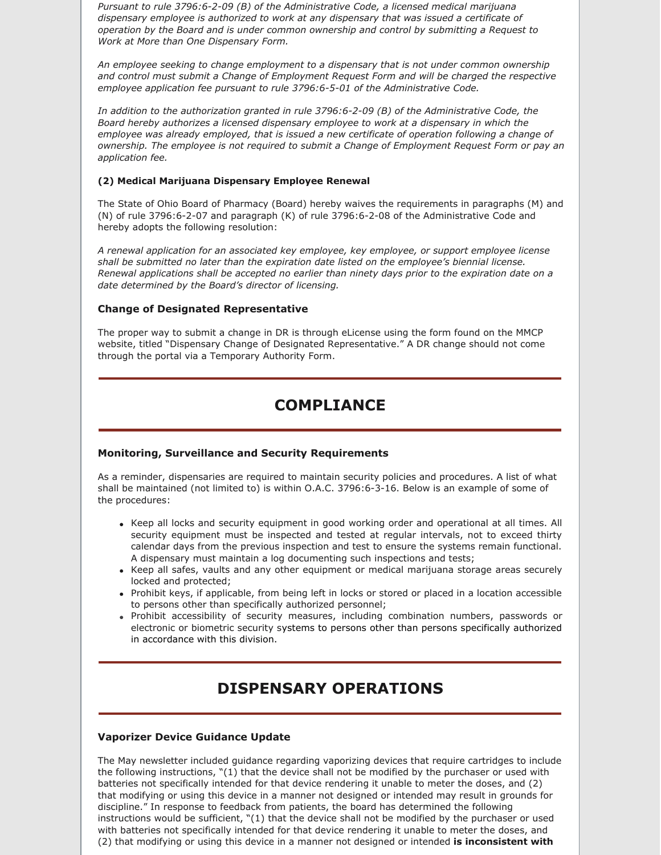*Pursuant to rule 3796:6-2-09 (B) of the Administrative Code, a licensed medical marijuana dispensary employee is authorized to work at any dispensary that was issued a certificate of operation by the Board and is under common ownership and control by submitting a Request to Work at More than One Dispensary Form.*

*An employee seeking to change employment to a dispensary that is not under common ownership and control must submit a Change of Employment Request Form and will be charged the respective employee application fee pursuant to rule 3796:6-5-01 of the Administrative Code.*

*In addition to the authorization granted in rule 3796:6-2-09 (B) of the Administrative Code, the Board hereby authorizes a licensed dispensary employee to work at a dispensary in which the employee was already employed, that is issued a new certificate of operation following a change of ownership. The employee is not required to submit a Change of Employment Request Form or pay an application fee.*

#### **(2) Medical Marijuana Dispensary Employee Renewal**

The State of Ohio Board of Pharmacy (Board) hereby waives the requirements in paragraphs (M) and (N) of rule 3796:6-2-07 and paragraph (K) of rule 3796:6-2-08 of the Administrative Code and hereby adopts the following resolution:

*A renewal application for an associated key employee, key employee, or support employee license shall be submitted no later than the expiration date listed on the employee's biennial license. Renewal applications shall be accepted no earlier than ninety days prior to the expiration date on a date determined by the Board's director of licensing.*

### **Change of Designated Representative**

The proper way to submit a change in DR is through eLicense using the form found on the MMCP website, titled "Dispensary Change of Designated Representative." A DR change should not come through the portal via a Temporary Authority Form.

# **COMPLIANCE**

#### **Monitoring, Surveillance and Security Requirements**

As a reminder, dispensaries are required to maintain security policies and procedures. A list of what shall be maintained (not limited to) is within O.A.C. 3796:6-3-16. Below is an example of some of the procedures:

- Keep all locks and security equipment in good working order and operational at all times. All security equipment must be inspected and tested at regular intervals, not to exceed thirty calendar days from the previous inspection and test to ensure the systems remain functional. A dispensary must maintain a log documenting such inspections and tests;
- Keep all safes, vaults and any other equipment or medical marijuana storage areas securely locked and protected;
- Prohibit keys, if applicable, from being left in locks or stored or placed in a location accessible to persons other than specifically authorized personnel;
- Prohibit accessibility of security measures, including combination numbers, passwords or electronic or biometric security systems to persons other than persons specifically authorized in accordance with this division.

# **DISPENSARY OPERATIONS**

#### **Vaporizer Device Guidance Update**

The May newsletter included guidance regarding vaporizing devices that require cartridges to include the following instructions, "(1) that the device shall not be modified by the purchaser or used with batteries not specifically intended for that device rendering it unable to meter the doses, and (2) that modifying or using this device in a manner not designed or intended may result in grounds for discipline." In response to feedback from patients, the board has determined the following instructions would be sufficient, "(1) that the device shall not be modified by the purchaser or used with batteries not specifically intended for that device rendering it unable to meter the doses, and (2) that modifying or using this device in a manner not designed or intended **is inconsistent with**